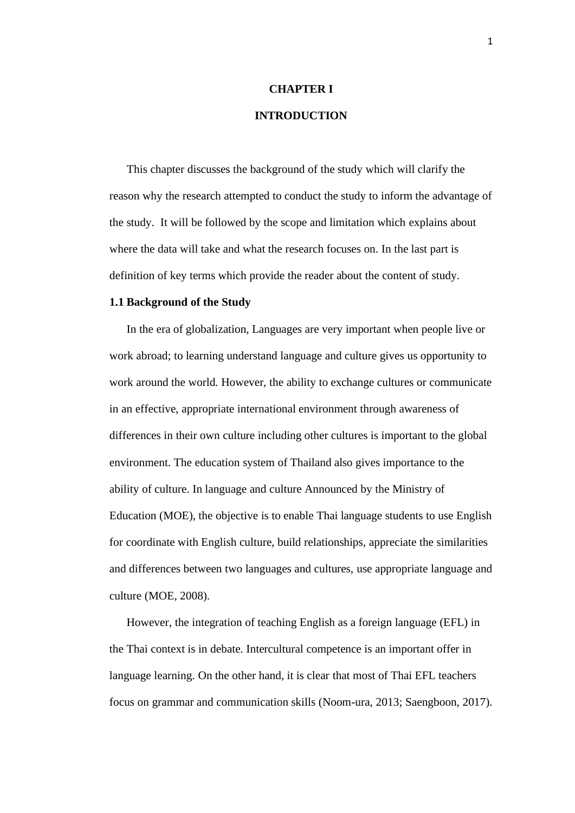# **CHAPTER I**

# **INTRODUCTION**

This chapter discusses the background of the study which will clarify the reason why the research attempted to conduct the study to inform the advantage of the study. It will be followed by the scope and limitation which explains about where the data will take and what the research focuses on. In the last part is definition of key terms which provide the reader about the content of study.

### **1.1 Background of the Study**

In the era of globalization, Languages are very important when people live or work abroad; to learning understand language and culture gives us opportunity to work around the world. However, the ability to exchange cultures or communicate in an effective, appropriate international environment through awareness of differences in their own culture including other cultures is important to the global environment. The education system of Thailand also gives importance to the ability of culture. In language and culture Announced by the Ministry of Education (MOE), the objective is to enable Thai language students to use English for coordinate with English culture, build relationships, appreciate the similarities and differences between two languages and cultures, use appropriate language and culture (MOE, 2008).

However, the integration of teaching English as a foreign language (EFL) in the Thai context is in debate. Intercultural competence is an important offer in language learning. On the other hand, it is clear that most of Thai EFL teachers focus on grammar and communication skills (Noom-ura, 2013; Saengboon, 2017).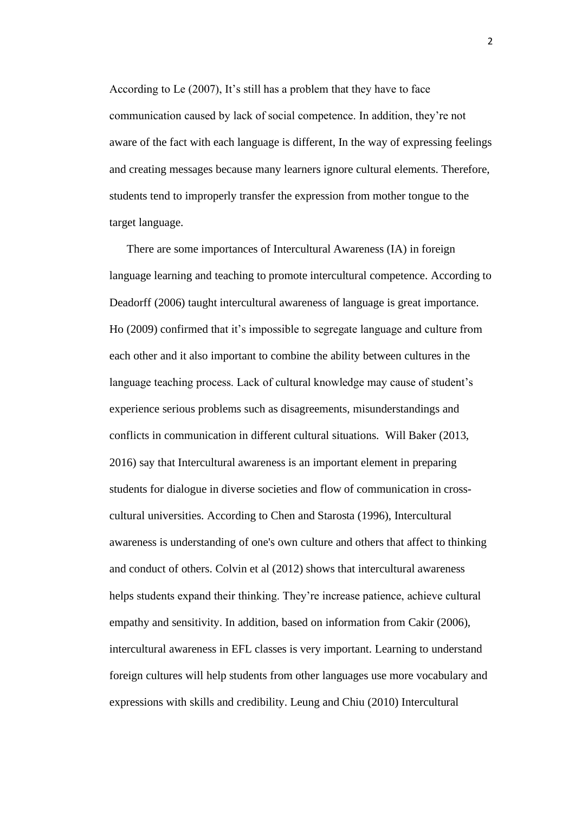According to Le (2007), It's still has a problem that they have to face communication caused by lack of social competence. In addition, they're not aware of the fact with each language is different, In the way of expressing feelings and creating messages because many learners ignore cultural elements. Therefore, students tend to improperly transfer the expression from mother tongue to the target language.

There are some importances of Intercultural Awareness (IA) in foreign language learning and teaching to promote intercultural competence. According to Deadorff (2006) taught intercultural awareness of language is great importance. Ho (2009) confirmed that it's impossible to segregate language and culture from each other and it also important to combine the ability between cultures in the language teaching process. Lack of cultural knowledge may cause of student's experience serious problems such as disagreements, misunderstandings and conflicts in communication in different cultural situations. Will Baker (2013, 2016) say that Intercultural awareness is an important element in preparing students for dialogue in diverse societies and flow of communication in crosscultural universities. According to Chen and Starosta (1996), Intercultural awareness is understanding of one's own culture and others that affect to thinking and conduct of others. Colvin et al (2012) shows that intercultural awareness helps students expand their thinking. They're increase patience, achieve cultural empathy and sensitivity. In addition, based on information from Cakir (2006), intercultural awareness in EFL classes is very important. Learning to understand foreign cultures will help students from other languages use more vocabulary and expressions with skills and credibility. Leung and Chiu (2010) Intercultural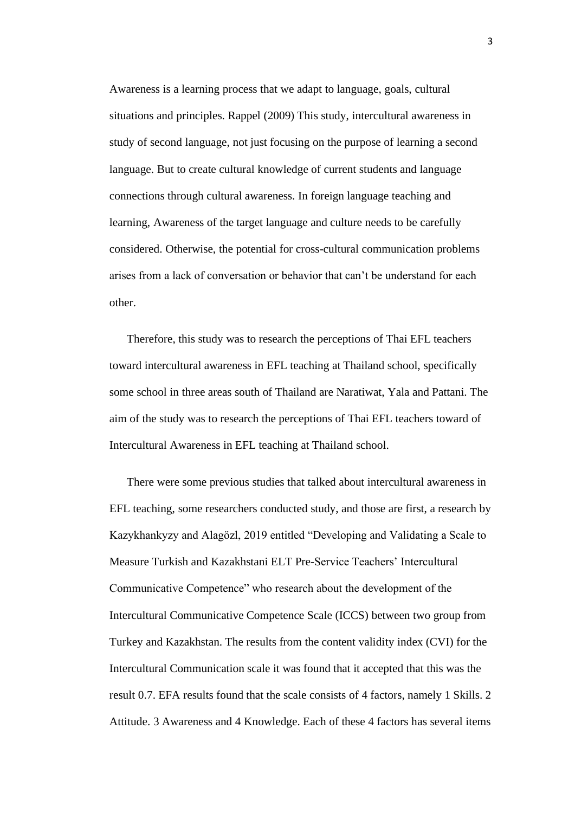Awareness is a learning process that we adapt to language, goals, cultural situations and principles. Rappel (2009) This study, intercultural awareness in study of second language, not just focusing on the purpose of learning a second language. But to create cultural knowledge of current students and language connections through cultural awareness. In foreign language teaching and learning, Awareness of the target language and culture needs to be carefully considered. Otherwise, the potential for cross-cultural communication problems arises from a lack of conversation or behavior that can't be understand for each other.

Therefore, this study was to research the perceptions of Thai EFL teachers toward intercultural awareness in EFL teaching at Thailand school, specifically some school in three areas south of Thailand are Naratiwat, Yala and Pattani. The aim of the study was to research the perceptions of Thai EFL teachers toward of Intercultural Awareness in EFL teaching at Thailand school.

There were some previous studies that talked about intercultural awareness in EFL teaching, some researchers conducted study, and those are first, a research by Kazykhankyzy and Alagözl, 2019 entitled "Developing and Validating a Scale to Measure Turkish and Kazakhstani ELT Pre-Service Teachers' Intercultural Communicative Competence" who research about the development of the Intercultural Communicative Competence Scale (ICCS) between two group from Turkey and Kazakhstan. The results from the content validity index (CVI) for the Intercultural Communication scale it was found that it accepted that this was the result 0.7. EFA results found that the scale consists of 4 factors, namely 1 Skills. 2 Attitude. 3 Awareness and 4 Knowledge. Each of these 4 factors has several items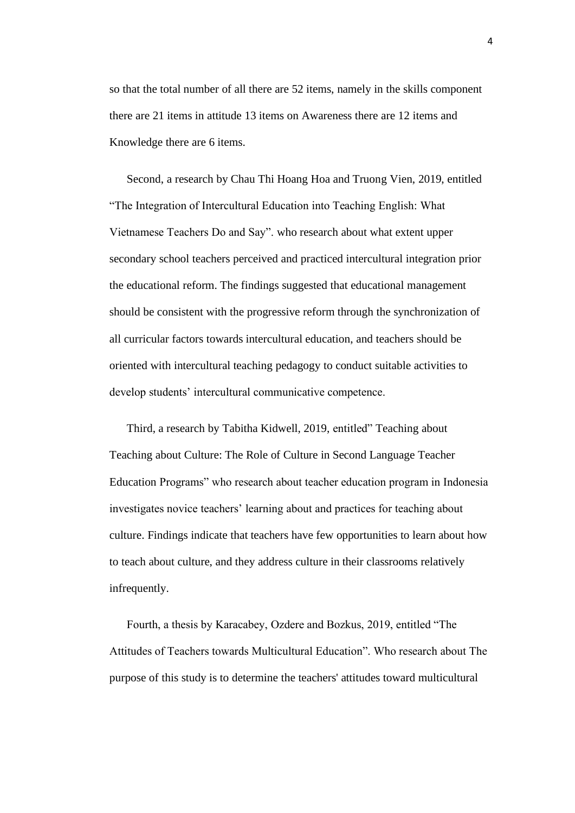so that the total number of all there are 52 items, namely in the skills component there are 21 items in attitude 13 items on Awareness there are 12 items and Knowledge there are 6 items.

Second, a research by Chau Thi Hoang Hoa and Truong Vien, 2019, entitled "The Integration of Intercultural Education into Teaching English: What Vietnamese Teachers Do and Say". who research about what extent upper secondary school teachers perceived and practiced intercultural integration prior the educational reform. The findings suggested that educational management should be consistent with the progressive reform through the synchronization of all curricular factors towards intercultural education, and teachers should be oriented with intercultural teaching pedagogy to conduct suitable activities to develop students' intercultural communicative competence.

Third, a research by Tabitha Kidwell, 2019, entitled" Teaching about Teaching about Culture: The Role of Culture in Second Language Teacher Education Programs" who research about teacher education program in Indonesia investigates novice teachers' learning about and practices for teaching about culture. Findings indicate that teachers have few opportunities to learn about how to teach about culture, and they address culture in their classrooms relatively infrequently.

Fourth, a thesis by Karacabey, Ozdere and Bozkus, 2019, entitled "The Attitudes of Teachers towards Multicultural Education". Who research about The purpose of this study is to determine the teachers' attitudes toward multicultural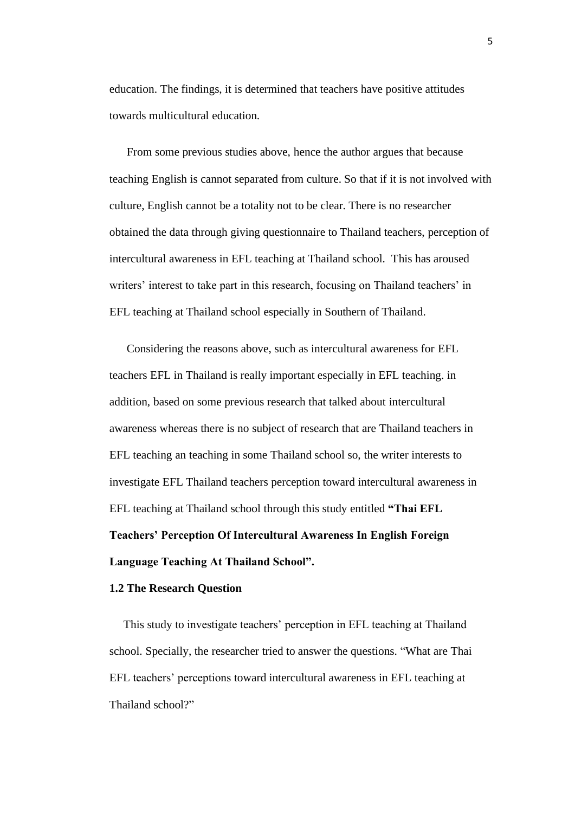education. The findings, it is determined that teachers have positive attitudes towards multicultural education.

From some previous studies above, hence the author argues that because teaching English is cannot separated from culture. So that if it is not involved with culture, English cannot be a totality not to be clear. There is no researcher obtained the data through giving questionnaire to Thailand teachers, perception of intercultural awareness in EFL teaching at Thailand school. This has aroused writers' interest to take part in this research, focusing on Thailand teachers' in EFL teaching at Thailand school especially in Southern of Thailand.

Considering the reasons above, such as intercultural awareness for EFL teachers EFL in Thailand is really important especially in EFL teaching. in addition, based on some previous research that talked about intercultural awareness whereas there is no subject of research that are Thailand teachers in EFL teaching an teaching in some Thailand school so, the writer interests to investigate EFL Thailand teachers perception toward intercultural awareness in EFL teaching at Thailand school through this study entitled **"Thai EFL Teachers' Perception Of Intercultural Awareness In English Foreign Language Teaching At Thailand School".**

#### **1.2 The Research Question**

This study to investigate teachers' perception in EFL teaching at Thailand school. Specially, the researcher tried to answer the questions. "What are Thai EFL teachers' perceptions toward intercultural awareness in EFL teaching at Thailand school?"

5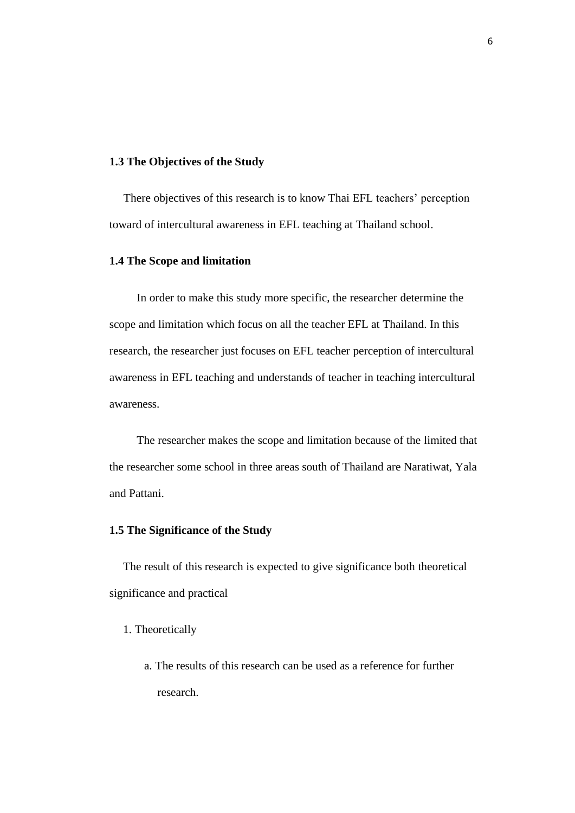### **1.3 The Objectives of the Study**

There objectives of this research is to know Thai EFL teachers' perception toward of intercultural awareness in EFL teaching at Thailand school.

# **1.4 The Scope and limitation**

In order to make this study more specific, the researcher determine the scope and limitation which focus on all the teacher EFL at Thailand. In this research, the researcher just focuses on EFL teacher perception of intercultural awareness in EFL teaching and understands of teacher in teaching intercultural awareness.

The researcher makes the scope and limitation because of the limited that the researcher some school in three areas south of Thailand are Naratiwat, Yala and Pattani.

#### **1.5 The Significance of the Study**

The result of this research is expected to give significance both theoretical significance and practical

- 1. Theoretically
	- a. The results of this research can be used as a reference for further research.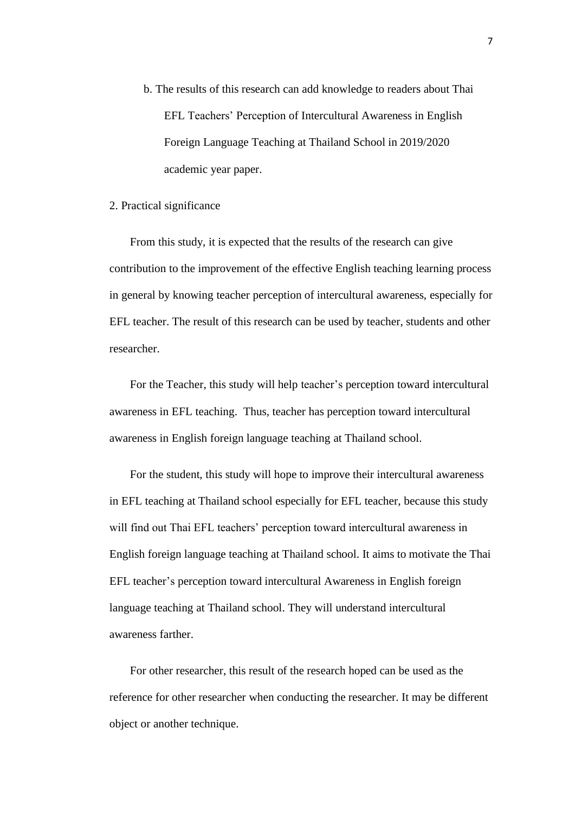- b. The results of this research can add knowledge to readers about Thai EFL Teachers' Perception of Intercultural Awareness in English Foreign Language Teaching at Thailand School in 2019/2020 academic year paper.
- 2. Practical significance

From this study, it is expected that the results of the research can give contribution to the improvement of the effective English teaching learning process in general by knowing teacher perception of intercultural awareness, especially for EFL teacher. The result of this research can be used by teacher, students and other researcher.

For the Teacher, this study will help teacher's perception toward intercultural awareness in EFL teaching. Thus, teacher has perception toward intercultural awareness in English foreign language teaching at Thailand school.

For the student, this study will hope to improve their intercultural awareness in EFL teaching at Thailand school especially for EFL teacher, because this study will find out Thai EFL teachers' perception toward intercultural awareness in English foreign language teaching at Thailand school. It aims to motivate the Thai EFL teacher's perception toward intercultural Awareness in English foreign language teaching at Thailand school. They will understand intercultural awareness farther.

For other researcher, this result of the research hoped can be used as the reference for other researcher when conducting the researcher. It may be different object or another technique.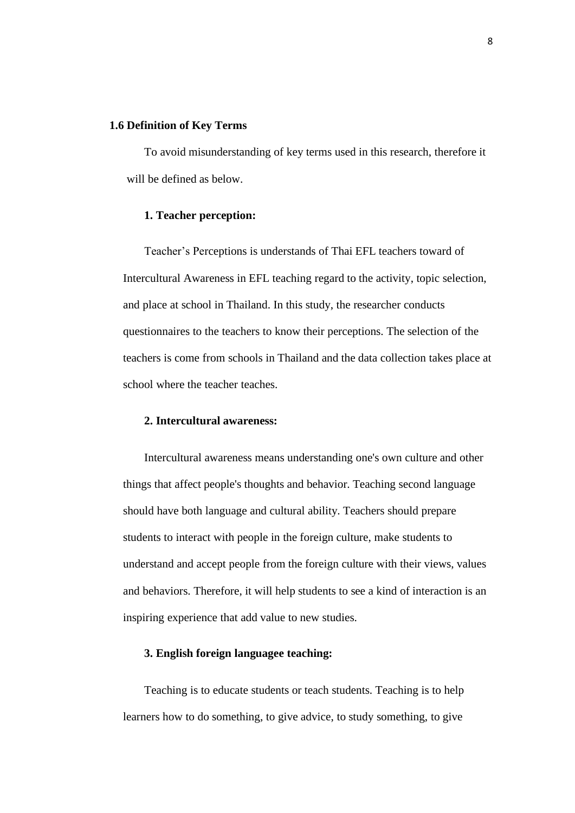#### **1.6 Definition of Key Terms**

To avoid misunderstanding of key terms used in this research, therefore it will be defined as below.

#### **1. Teacher perception:**

Teacher's Perceptions is understands of Thai EFL teachers toward of Intercultural Awareness in EFL teaching regard to the activity, topic selection, and place at school in Thailand. In this study, the researcher conducts questionnaires to the teachers to know their perceptions. The selection of the teachers is come from schools in Thailand and the data collection takes place at school where the teacher teaches.

## **2. Intercultural awareness:**

Intercultural awareness means understanding one's own culture and other things that affect people's thoughts and behavior. Teaching second language should have both language and cultural ability. Teachers should prepare students to interact with people in the foreign culture, make students to understand and accept people from the foreign culture with their views, values and behaviors. Therefore, it will help students to see a kind of interaction is an inspiring experience that add value to new studies.

## **3. English foreign languagee teaching:**

Teaching is to educate students or teach students. Teaching is to help learners how to do something, to give advice, to study something, to give